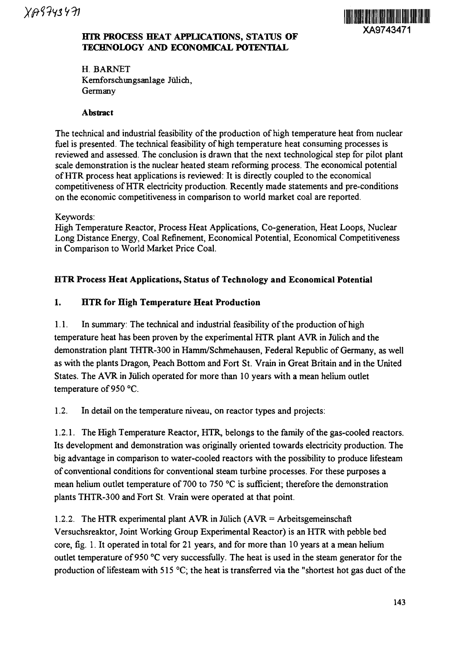

#### **HTR PROCESS HEAT APPLICATIONS, STATUS OF TECHNOLOGY AND ECONOMICAL POTENTIAL**

H. BARNET Kernforschungsanlage Julich, Germany

#### **Abstract**

The technical and industrial feasibility of the production of high temperature heat from nuclear fuel is presented. The technical feasibility of high temperature heat consuming processes is reviewed and assessed. The conclusion is drawn that the next technological step for pilot plant scale demonstration is the nuclear heated steam reforming process. The economical potential of HTR process heat applications is reviewed: It is directly coupled to the economical competitiveness of HTR electricity production. Recently made statements and pre-conditions on the economic competitiveness in comparison to world market coal are reported.

Keywords:

High Temperature Reactor, Process Heat Applications, Co-generation, Heat Loops, Nuclear Long Distance Energy, Coal Refinement, Economical Potential, Economical Competitiveness in Comparison to World Market Price Coal.

### **HTR Process Heat Applications, Status of Technology and Economical Potential**

#### **1. HTR for High Temperature Heat Production**

1.1. In summary: The technical and industrial feasibility of the production of high temperature heat has been proven by the experimental HTR plant AVR in Julich and the demonstration plant THTR-300 in Hamm/Schmehausen, Federal Republic of Germany, as well as with the plants Dragon, Peach Bottom and Fort St. Vrain in Great Britain and in the United States. The AVR in Jülich operated for more than 10 years with a mean helium outlet temperature of 950 °C.

1.2. In detail on the temperature niveau, on reactor types and projects:

1.2.1. The High Temperature Reactor, HTR, belongs to the family of the gas-cooled reactors. Its development and demonstration was originally oriented towards electricity production. The big advantage in comparison to water-cooled reactors with the possibility to produce lifesteam of conventional conditions for conventional steam turbine processes. For these purposes a mean helium outlet temperature of 700 to 750 °C is sufficient; therefore the demonstration plants THTR-300 and Fort St. Vrain were operated at that point.

1.2.2. The HTR experimental plant AVR in Jülich ( $AVR =$  Arbeitsgemeinschaft Versuchsreaktor, Joint Working Group Experimental Reactor) is an HTR with pebble bed core, fig. 1. It operated in total for 21 years, and for more than 10 years at a mean helium outlet temperature of 950 °C very successfully. The heat is used in the steam generator for the production of lifesteam with 515  $^{\circ}$ C; the heat is transferred via the "shortest hot gas duct of the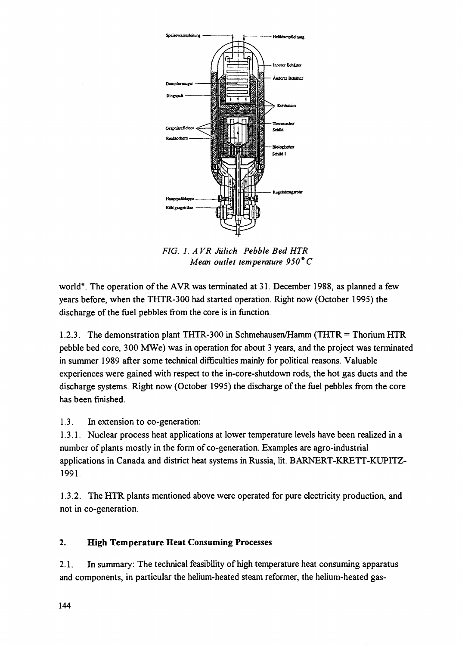

*FIG. 1. A VR Julich Pebble Bed HTR Mean outlet temperature 950°C*

world". The operation of the AVR was terminated at 31. December 1988, as planned a few years before, when the THTR-300 had started operation. Right now (October 1995) the discharge of the fuel pebbles from the core is in function.

1.2.3. The demonstration plant THTR-300 in Schmehausen/Hamm (THTR = Thorium HTR pebble bed core, 300 MWe) was in operation for about 3 years, and the project was terminated in summer 1989 after some technical difficulties mainly for political reasons. Valuable experiences were gained with respect to the in-core-shutdown rods, the hot gas ducts and the discharge systems. Right now (October 1995) the discharge of the fuel pebbles from the core has been finished.

1.3. In extension to co-generation:

1.3.1. Nuclear process heat applications at lower temperature levels have been realized in a number of plants mostly in the form of co-generation. Examples are agro-industrial applications in Canada and district heat systems in Russia, lit. BARNERT-KRETT-KUPITZ-1991.

1.3.2. The HTR plants mentioned above were operated for pure electricity production, and not in co-generation.

### **2. High Temperature Heat Consuming Processes**

2.1. In summary: The technical feasibility of high temperature heat consuming apparatus and components, in particular the helium-heated steam reformer, the helium-heated gas-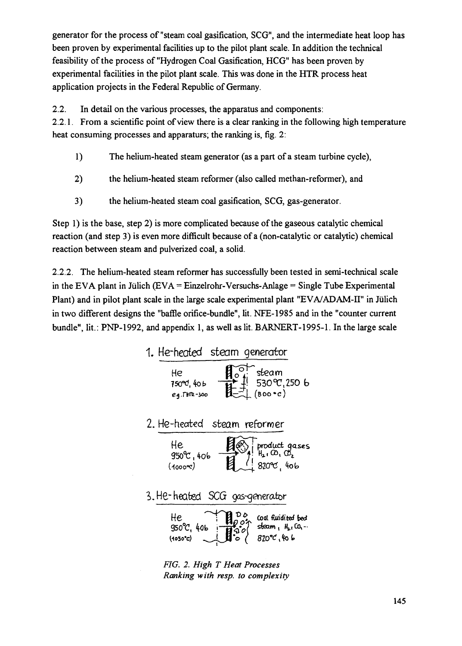**generator for the process of "steam coal gasification, SCG", and the intermediate heat loop has been proven by experimental facilities up to the pilot plant scale. In addition the technical feasibility of the process of "Hydrogen Coal Gasification, HCG" has been proven by experimental facilities in the pilot plant scale. This was done in the HTR process heat application projects in the Federal Republic of Germany.**

**2.2. In detail on the various processes, the apparatus and components:**

**2.2.1. From a scientific point of view there is a clear ranking in the following high temperature heat consuming processes and apparaturs; the ranking is, fig. 2:**

- **1) The helium-heated steam generator (as a part of a steam turbine cycle),**
- **2) the helium-heated steam reformer (also called methan-reformer), and**
- **3) the helium-heated steam coal gasification, SCG, gas-generator.**

**Step 1) is the base, step 2) is more complicated because of the gaseous catalytic chemical reaction (and step 3) is even more difficult because of a (non-catalytic or catalytic) chemical reaction between steam and pulverized coal, a solid.**

**2.2.2. The helium-heated steam reformer has successfully been tested in semi-technical scale in the EVA plant in Julich (EVA ~ Einzelrohr-Versuchs-Anlage = Single Tube Experimental** Plant) and in pilot plant scale in the large scale experimental plant "EVA/ADAM-II" in Jülich **in two different designs the "baffle orifice-bundle", lit. NFE-1985 and in the "counter current bundle", lit.: PNP-1992, and appendix 1, as well as lit. BARNERT-1995-1. In the large scale**



*FIG. 2. High T Heat Processes Ranking with resp. to complexity*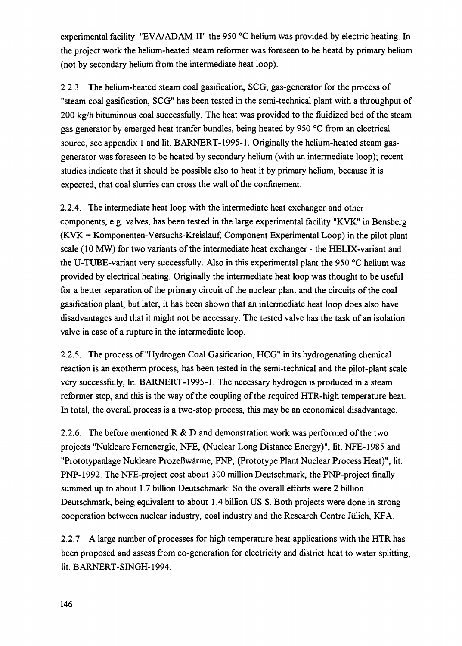experimental facility "EVA/ADAM-II" the 950 °C helium was provided by electric heating. In the project work the helium-heated steam reformer was foreseen to be heatd by primary helium (not by secondary helium from the intermediate heat loop).

2.2.3. The helium-heated steam coal gasification, SCG, gas-generator for the process of "steam coal gasification, SCG" has been tested in the semi-technical plant with a throughput of 200 kg/h bituminous coal successfully. The heat was provided to the fluidized bed of the steam gas generator by emerged heat tranfer bundles, being heated by 950 °C from an electrical source, see appendix 1 and lit. BARNERT-1995-1. Originally the helium-heated steam gasgenerator was foreseen to be heated by secondary helium (with an intermediate loop); recent studies indicate that it should be possible also to heat it by primary helium, because it is expected, that coal slurries can cross the wall of the confinement.

2.2.4. The intermediate heat loop with the intermediate heat exchanger and other components, e.g. valves, has been tested in the large experimental facility "KVK" in Bensberg  $(KVK = Komponenten-Versuchs-Kreislauf, Component Experimental Loop)$  in the pilot plant scale (10 MW) for two variants of the intermediate heat exchanger - the HELIX-variant and the U-TUBE-variant very successfully. Also in this experimental plant the 950 °C helium was provided by electrical heating. Originally the intermediate heat loop was thought to be useful for a better separation of the primary circuit of the nuclear plant and the circuits of the coal gasification plant, but later, it has been shown that an intermediate heat loop does also have disadvantages and that it might not be necessary. The tested valve has the task of an isolation valve in case of a rupture in the intermediate loop.

2.2.5. The process of "Hydrogen Coal Gasification, HCG" in its hydrogenating chemical reaction is an exotherm process, has been tested in the semi-technical and the pilot-plant scale very successfully, lit. BARNERT-1995-1. The necessary hydrogen is produced in a steam reformer step, and this is the way of the coupling of the required HTR-high temperature heat. In total, the overall process is a two-stop process, this may be an economical disadvantage.

2.2.6. The before mentioned R & D and demonstration work was performed of the two projects "Nukleare Fernenergie, NFE, (Nuclear Long Distance Energy)", lit. NFE-1985 and "Prototypanlage Nukleare ProzeBwarme, PNP, (Prototype Plant Nuclear Process Heat)", lit. PNP-1992. The NFE-project cost about 300 million Deutschmark, the PNP-project finally summed up to about 1.7 billion Deutschmark: So the overall efforts were 2 billion Deutschmark, being equivalent to about 1.4 billion US \$. Both projects were done in strong cooperation between nuclear industry, coal industry and the Research Centre Jülich, KFA.

2.2.7. A large number of processes for high temperature heat applications with the HTR has been proposed and assess from co-generation for electricity and district heat to water splitting, lit. BARNERT-SINGH-1994.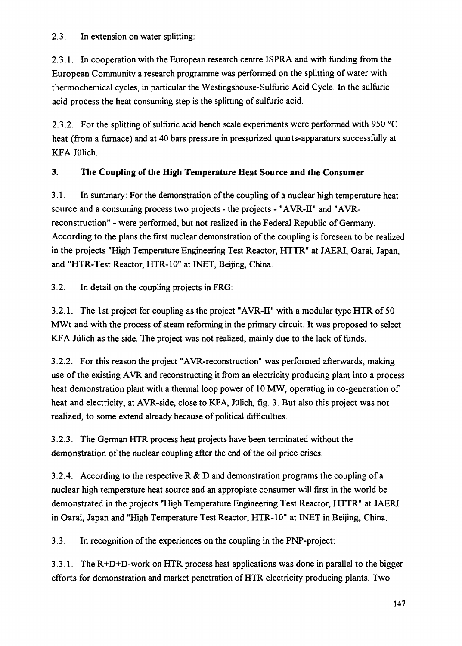2.3. In extension on water splitting:

2.3.1. In cooperation with the European research centre ISPRA and with funding from the European Community a research programme was performed on the splitting of water with thermochemical cycles, in particular the Westingshouse-Sulfuric Acid Cycle. In the sulfuric acid process the heat consuming step is the splitting of sulfuric acid.

2.3.2. For the splitting of sulfuric acid bench scale experiments were performed with 950 °C heat (from a furnace) and at 40 bars pressure in pressurized quarts-apparaturs successfully at KFA Julich.

### **3. The Coupling of the High Temperature Heat Source and the Consumer**

3.1. In summary: For the demonstration of the coupling of a nuclear high temperature heat source and a consuming process two projects - the projects - "AVR-II" and "AVRreconstruction" - were performed, but not realized in the Federal Republic of Germany. According to the plans the first nuclear demonstration of the coupling is foreseen to be realized in the projects "High Temperature Engineering Test Reactor, HTTR" at JAERI, Oarai, Japan, and "HTR-Test Reactor, HTR-10" at INET, Beijing, China.

3.2. In detail on the coupling projects in FRG:

3.2.1. The 1st project for coupling as the project "AVR-II" with a modular type HTR of 50 MWt and with the process of steam reforming in the primary circuit. It was proposed to select KFA Julich as the side. The project was not realized, mainly due to the lack of funds.

3.2.2. For this reason the project "AVR-reconstruction" was performed afterwards, making use of the existing AVR and reconstructing it from an electricity producing plant into a process heat demonstration plant with a thermal loop power of 10 MW, operating in co-generation of heat and electricity, at AVR-side, close to KFA, Jülich, fig. 3. But also this project was not realized, to some extend already because of political difficulties.

3.2.3. The German HTR process heat projects have been terminated without the demonstration of the nuclear coupling after the end of the oil price crises.

3.2.4. According to the respective R & D and demonstration programs the coupling of a nuclear high temperature heat source and an appropiate consumer will first in the world be demonstrated in the projects "High Temperature Engineering Test Reactor, HTTR" at JAERI in Oarai, Japan and "High Temperature Test Reactor, HTR-10" at INET in Beijing, China.

3.3. In recognition of the experiences on the coupling in the PNP-project:

3.3.1. The R+D+D-work on HTR process heat applications was done in parallel to the bigger efforts for demonstration and market penetration of HTR electricity producing plants. Two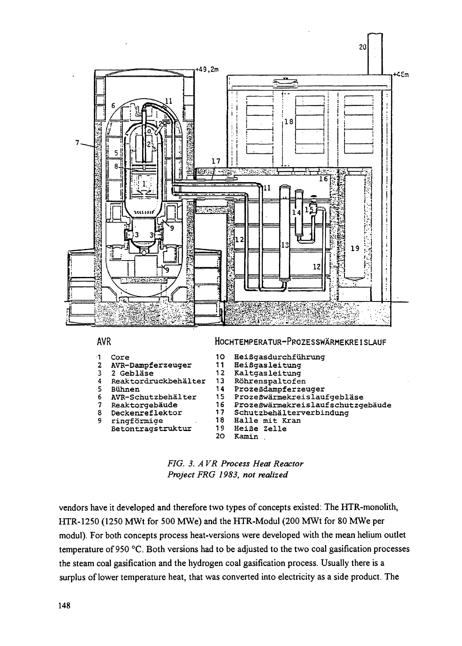



**vendors have it developed and therefore two types of concepts existed: The HTR-monolith, HTR-1250 (1250 MWt for 500 MWe) and the HTR-Modul (200 MWt for 80 MWe per modul). For both concepts process heat-versions were developed with the mean helium outlet temperature of 950 °C. Both versions had to be adjusted to the two coal gasification processes the steam coal gasification and the hydrogen coal gasification process. Usually there is a surplus of lower temperature heat, that was converted into electricity as a side product. The**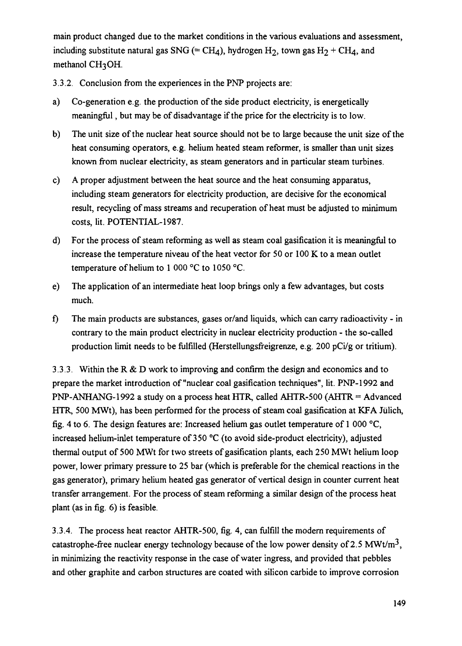**main product changed due to the market conditions in the various evaluations and assessment,** including substitute natural gas SNG (= CH<sub>4</sub>), hydrogen H<sub>2</sub>, town gas H<sub>2</sub> + CH<sub>4</sub>, and **methanol CH3OH.**

**3.3.2. Conclusion from the experiences in the PNP projects are:**

- **a) Co-generation e.g. the production of the side product electricity, is energetically meaningful, but may be of disadvantage if the price for the electricity is to low.**
- **b) The unit size of the nuclear heat source should not be to large because the unit size of the heat consuming operators, e.g. helium heated steam reformer, is smaller than unit sizes known from nuclear electricity, as steam generators and in particular steam turbines.**
- **c) A proper adjustment between the heat source and the heat consuming apparatus, including steam generators for electricity production, are decisive for the economical result, recycling of mass streams and recuperation of heat must be adjusted to minimum costs, lit. POTENTIAL-1987.**
- **d) For the process of steam reforming as well as steam coal gasification it is meaningful to increase the temperature niveau of the heat vector for 50 or 100 K to a mean outlet temperature of helium to 1 000 °C to 1050 °C.**
- **e) The application of an intermediate heat loop brings only a few advantages, but costs much.**
- **f) The main products are substances, gases or/and liquids, which can carry radioactivity in contrary to the main product electricity in nuclear electricity production - the so-called production limit needs to be fulfilled (Herstellungsfreigrenze, e.g. 200 pCi/g or tritium).**

**3.3.3. Within the R & D work to improving and confirm the design and economics and to prepare the market introduction of "nuclear coal gasification techniques", lit. PNP-1992 and PNP-ANHANG-1992 a study on a process heat HTR, called AHTR-500 (AHTR = Advanced HTR, 500 MWt), has been performed for the process of steam coal gasification at KFA Jiilich, fig. 4 to 6. The design features are: Increased helium gas outlet temperature of 1 000 °C, increased helium-inlet temperature of 350 °C (to avoid side-product electricity), adjusted thermal output of 500 MWt for two streets of gasification plants, each 250 MWt helium loop power, lower primary pressure to 25 bar (which is preferable for the chemical reactions in the gas generator), primary helium heated gas generator of vertical design in counter current heat transfer arrangement. For the process of steam reforming a similar design of the process heat plant (as in fig. 6) is feasible.**

**3.3.4. The process heat reactor AHTR-500, fig. 4, can fulfill the modern requirements of** catastrophe-free nuclear energy technology because of the low power density of 2.5  $MWt/m<sup>3</sup>$ , **in minimizing the reactivity response in the case of water ingress, and provided that pebbles and other graphite and carbon structures are coated with silicon carbide to improve corrosion**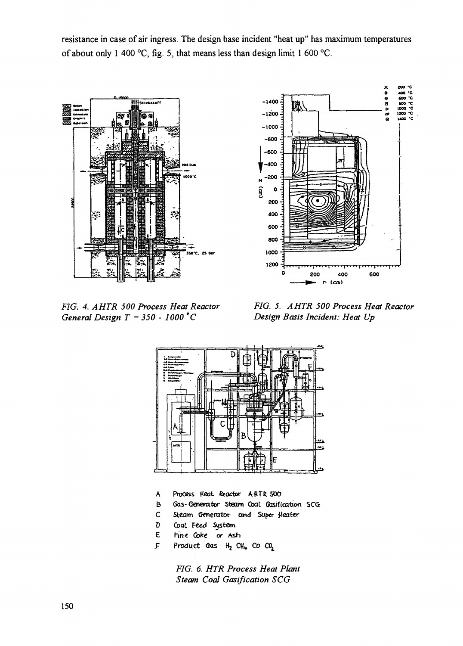resistance in case of air ingress. The design base incident "heat up" has maximum temperatures of about only 1 400 °C, fig. 5, that means less than design limit 1 600 °C.





*FIG. 4. AHTR 500 Process Heat Reactor General Design T* = *350 - 1000° C*

*FIG. 5. AHTR 500 Process Heat Reactor Design Basis Incident: Heat Up*



- A Process Heat Reactor AHTR 500
- B Gas-Generator Steam Coal Gasification SCG
- C Steam Generator and Super Heater
- D Coal Feed System
- E Fine Coke or Ash
- *JF* Product Gas  $H_2$  CH<sub>4</sub> Co CO<sub>2</sub>

*FIG. 6. HTR Process Heat Plant Steam Coal Gasification SCG*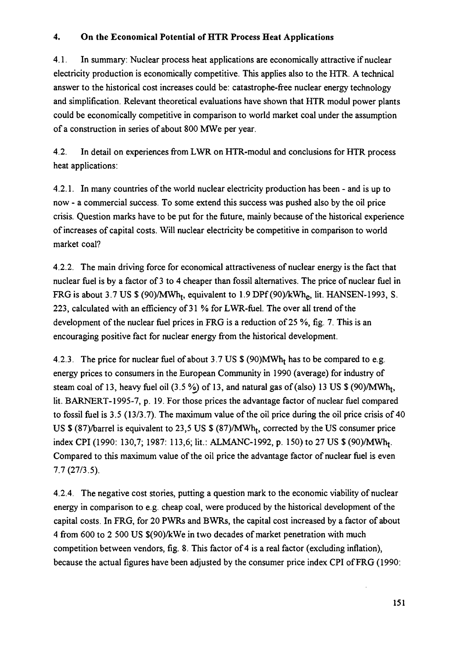### **4. On the Economical Potential of HTR Process Heat Applications**

4.1. In summary: Nuclear process heat applications are economically attractive if nuclear electricity production is economically competitive. This applies also to the HTR. A technical answer to the historical cost increases could be: catastrophe-free nuclear energy technology and simplification. Relevant theoretical evaluations have shown that HTR modul power plants could be economically competitive in comparison to world market coal under the assumption of a construction in series of about 800 MWe per year.

4.2. In detail on experiences from LWR on HTR-modul and conclusions for HTR process heat applications:

4.2.1. In many countries of the world nuclear electricity production has been - and is up to now - a commercial success. To some extend this success was pushed also by the oil price crisis. Question marks have to be put for the future, mainly because of the historical experience of increases of capital costs. Will nuclear electricity be competitive in comparison to world market coal?

4.2.2. The main driving force for economical attractiveness of nuclear energy is the fact that nuclear fuel is by a factor of 3 to 4 cheaper than fossil alternatives. The price of nuclear fuel in FRG is about 3.7 US \$ (90)/MWh<sub>t</sub>, equivalent to 1.9 DPf (90)/kWh<sub>e</sub>, lit. HANSEN-1993, S. 223, calculated with an efficiency of 31 % for LWR-fuel. The over all trend of the development of the nuclear fuel prices in FRG is a reduction of 25 %, fig. 7. This is an encouraging positive fact for nuclear energy from the historical development.

4.2.3. The price for nuclear fuel of about 3.7 US  $\mathcal{S}(90)$ MWh<sub>t</sub> has to be compared to e.g. energy prices to consumers in the European Community in 1990 (average) for industry of steam coal of 13, heavy fuel oil (3.5 %) of 13, and natural gas of (also) 13 US \$ (90)/MWh<sub>t</sub>, lit. BARNERT-1995-7, p. 19. For those prices the advantage factor of nuclear fuel compared to fossil fuel is 3.5 (13/3.7). The maximum value of the oil price during the oil price crisis of 40 US  $$ (87)/\text{bar}$ el is equivalent to 23,5 US  $$ (87)/\text{MWh}_t$ , corrected by the US consumer price index CPI (1990: 130,7; 1987: 113,6; lit.: ALMANC-1992, p. 150) to 27 US \$ (90)/MWh<sub>t</sub>. Compared to this maximum value of the oil price the advantage factor of nuclear fuel is even 7.7(27/3.5).

4.2.4. The negative cost stories, putting a question mark to the economic viability of nuclear energy in comparison to e.g. cheap coal, were produced by the historical development of the capital costs. In FRG, for 20 PWRs and BWRs, the capital cost increased by a factor of about 4 from 600 to 2 500 US \$(90)/kWe in two decades of market penetration with much competition between vendors, fig. 8. This factor of 4 is a real factor (excluding inflation), because the actual figures have been adjusted by the consumer price index CPI of FRG (1990:

 $\bar{z}$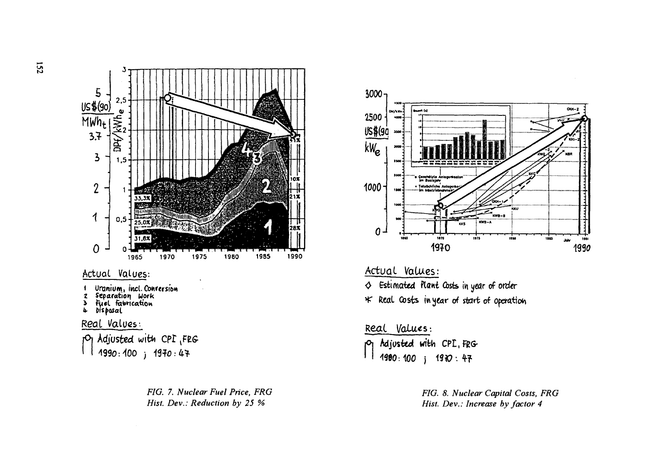

**to**



F/G. 7. *Nuclear Fuel Price, FRG Hist. Dev.: Reduction by 25 %*



Actual Values:  $\lozenge$  Estimated Plant Costs in year of order **H^ Heal Cbsis kytar of start of**

### Real Values:

**Adjusted wi** M 1980:100 ; 1970:47

> *FIG. 8. Nuclear Capital Costs, FRG Hist. Dev.: Increase by factor 4*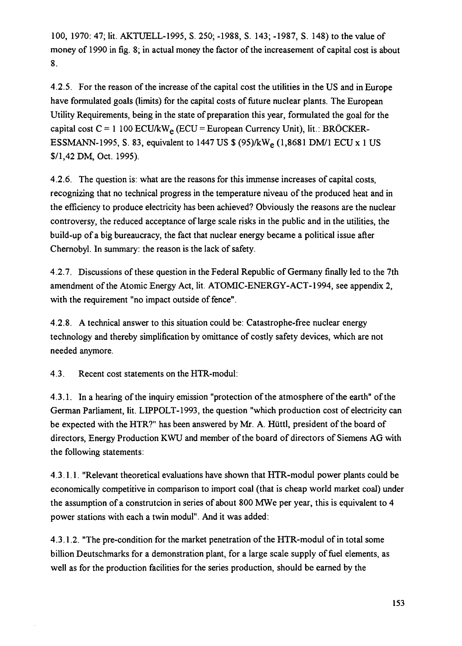100, 1970: 47; lit. AKTUELL-1995, S. 250; -1988, S. 143; -1987, S. 148) to the value of money of 1990 in fig. 8; in actual money the factor of the increasement of capital cost is about 8.

4.2.5. For the reason of the increase of the capital cost the utilities in the US and in Europe have formulated goals (limits) for the capital costs of future nuclear plants. The European Utility Requirements, being in the state of preparation this year, formulated the goal for the capital cost  $C = 1 100$  ECU/kW<sub>e</sub> (ECU = European Currency Unit), lit.: BRÖCKER-ESSMANN-1995, S. 83, equivalent to 1447 US \$ (95)/kWe (1,8681 DM/1 ECU x 1 US \$/l,42DM, Oct. 1995).

4.2.6. The question is: what are the reasons for this immense increases of capital costs, recognizing that no technical progress in the temperature niveau of the produced heat and in the efficiency to produce electricity has been achieved? Obviously the reasons are the nuclear controversy, the reduced acceptance of large scale risks in the public and in the utilities, the build-up of a big bureaucracy, the fact that nuclear energy became a political issue after Chernobyl. In summary: the reason is the lack of safety.

4.2.7. Discussions of these question in the Federal Republic of Germany finally led to the 7th amendment of the Atomic Energy Act, lit. ATOMIC-ENERGY-ACT-1994, see appendix 2, with the requirement "no impact outside of fence".

4.2.8. A technical answer to this situation could be: Catastrophe-free nuclear energy technology and thereby simplification by omittance of costly safety devices, which are not needed anymore.

4.3. Recent cost statements on the HTR-modul:

4.3.1. In a hearing of the inquiry emission "protection of the atmosphere of the earth" of the German Parliament, lit. LIPPOLT-1993, the question "which production cost of electricity can be expected with the HTR?" has been answered by Mr. A. Hiittl, president of the board of directors, Energy Production KWU and member of the board of directors of Siemens AG with the following statements:

4.3.1.1. "Relevant theoretical evaluations have shown that HTR-modul power plants could be economically competitive in comparison to import coal (that is cheap world market coal) under the assumption of a construtcion in series of about 800 MWe per year, this is equivalent to 4 power stations with each a twin modul". And it was added:

4.3.1.2. "The pre-condition for the market penetration of the HTR-modul of in total some billion Deutschmarks for a demonstration plant, for a large scale supply of fuel elements, as well as for the production facilities for the series production, should be earned by the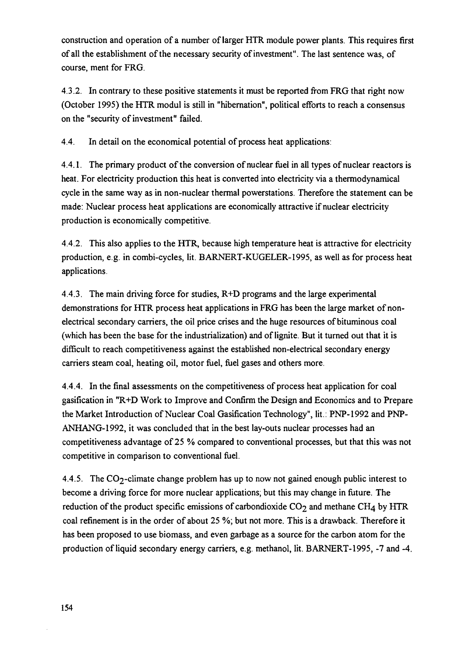construction and operation of a number of larger HTR module power plants. This requires first of all the establishment of the necessary security of investment". The last sentence was, of course, ment for FRG.

4.3.2. In contrary to these positive statements it must be reported from FRG that right now (October 1995) the HTR modul is still in "hibernation", political efforts to reach a consensus on the "security of investment" failed.

4.4. In detail on the economical potential of process heat applications:

4.4.1. The primary product of the conversion of nuclear fuel in all types of nuclear reactors is heat. For electricity production this heat is converted into electricity via a thermodynamical cycle in the same way as in non-nuclear thermal powerstations. Therefore the statement can be made: Nuclear process heat applications are economically attractive if nuclear electricity production is economically competitive.

4.4.2. This also applies to the HTR, because high temperature heat is attractive for electricity production, e.g. in combi-cycles, lit. BARNERT-KUGELER-1995, as well as for process heat applications.

4.4.3. The main driving force for studies, R+D programs and the large experimental demonstrations for HTR process heat applications in FRG has been the large market of nonelectrical secondary carriers, the oil price crises and the huge resources of bituminous coal (which has been the base for the industrialization) and of lignite. But it turned out that it is difficult to reach competitiveness against the established non-electrical secondary energy carriers steam coal, heating oil, motor fuel, fuel gases and others more.

4.4.4. In the final assessments on the competitiveness of process heat application for coal gasification in "R+D Work to Improve and Confirm the Design and Economics and to Prepare the Market Introduction of Nuclear Coal Gasification Technology", lit.: PNP-1992 and PNP-ANHANG-1992, it was concluded that in the best lay-outs nuclear processes had an competitiveness advantage of 25 % compared to conventional processes, but that this was not competitive in comparison to conventional fuel.

4.4.5. The  $CO_2$ -climate change problem has up to now not gained enough public interest to become a driving force for more nuclear applications; but this may change in future. The reduction of the product specific emissions of carbondioxide  $CO<sub>2</sub>$  and methane CH<sub>4</sub> by HTR coal refinement is in the order of about 25 %; but not more. This is a drawback. Therefore it has been proposed to use biomass, and even garbage as a source for the carbon atom for the production of liquid secondary energy carriers, e.g. methanol, lit. BARNERT-1995, -7 and -4.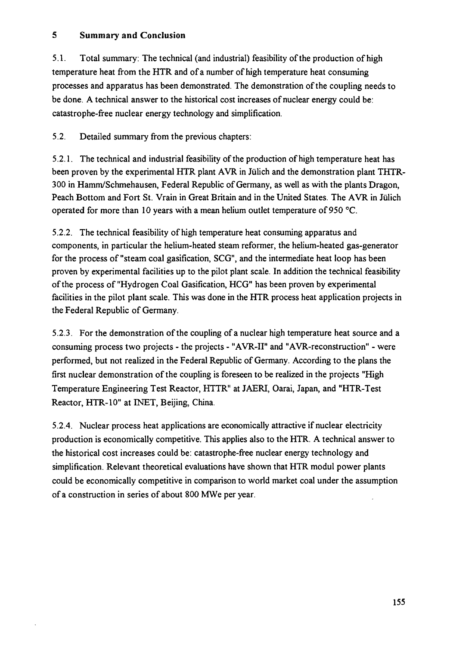#### **5 Summary and Conclusion**

5.1. Total summary: The technical (and industrial) feasibility of the production of high temperature heat from the HTR and of a number of high temperature heat consuming processes and apparatus has been demonstrated. The demonstration of the coupling needs to be done. A technical answer to the historical cost increases of nuclear energy could be: catastrophe-free nuclear energy technology and simplification.

5.2. Detailed summary from the previous chapters:

5.2.1. The technical and industrial feasibility of the production of high temperature heat has been proven by the experimental HTR plant AVR in **Julich** and the demonstration plant THTR-300 in Hamm/Schmehausen, Federal Republic of Germany, as well as with the plants Dragon, Peach Bottom and Fort St. Vrain in Great Britain and in the United States. The AVR in Jülich operated for more than 10 years with a mean helium outlet temperature of 950 °C.

5.2.2. The technical feasibility of high temperature heat consuming apparatus and components, in particular the helium-heated steam reformer, the helium-heated gas-generator for the process of "steam coal gasification, SCG", and the intermediate heat loop has been proven by experimental facilities up to the pilot plant scale. In addition the technical feasibility of the process of "Hydrogen Coal Gasification, HCG" has been proven by experimental facilities in the pilot plant scale. This was done in the HTR process heat application projects in the Federal Republic of Germany.

5.2.3. For the demonstration of the coupling of a nuclear high temperature heat source and a consuming process two projects - the projects - "AVR-II" and "AVR-reconstruction" - were performed, but not realized in the Federal Republic of Germany. According to the plans the first nuclear demonstration of the coupling is foreseen to be realized in the projects "High Temperature Engineering Test Reactor, HTTR" at JAERI, Oarai, Japan, and "HTR-Test Reactor, HTR-10" at INET, Beijing, China.

5.2.4. Nuclear process heat applications are economically attractive if nuclear electricity production is economically competitive. This applies also to the HTR. A technical answer to the historical cost increases could be: catastrophe-free nuclear energy technology and simplification. Relevant theoretical evaluations have shown that HTR modul power plants could be economically competitive in comparison to world market coal under the assumption of a construction in series of about 800 MWe per year.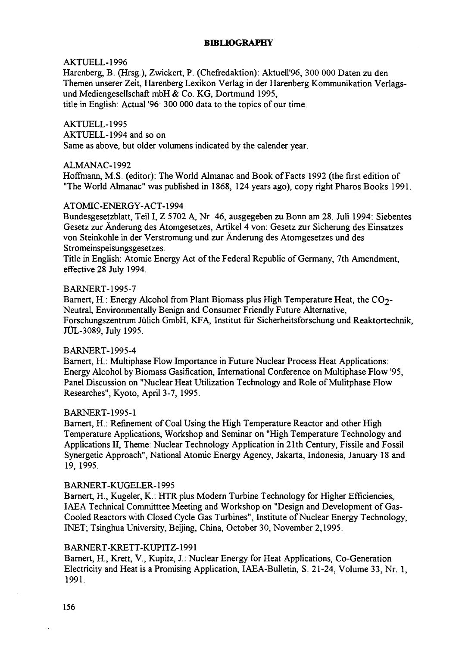#### **BIBLIOGRAPHY**

#### AKTUELL-1996

Harenberg, B. (Hrsg.), Zwickert, P. (Chefredaktion): Aktuell'96, 300 000 Daten zu den Themen unserer Zeit, Harenberg Lexikon Verlag in der Harenberg Kommunikation Verlagsund Mediengesellschaft mbH & Co. KG, Dortmund 1995,

title in English: Actual '96: 300 000 data to the topics of our time.

#### AKTUELL-1995

AKTUELL-1994 and so on

Same as above, but older volumens indicated by the calender year.

#### ALMANAC-1992

Hoffmann, M.S. (editor): The World Almanac and Book of Facts 1992 (the first edition of "The World Almanac" was published in 1868, 124 years ago), copy right Pharos Books 1991.

#### ATOMIC-ENERGY-ACT-1994

Bundesgesetzblatt, Teil I, Z 5702 A, Nr. 46, ausgegeben zu Bonn am 28. Juli 1994: Siebentes Gesetz zur Anderung des Atomgesetzes, Artikel 4 von: Gesetz zur Sicherung des Einsatzes von Steinkohle in der Verstromung und zur Anderung des Atomgesetzes und des Stromeinspeisungsgesetzes.

Title in English: Atomic Energy Act of the Federal Republic of Germany, 7th Amendment, effective 28 July 1994.

#### BARNERT-1995-7

Barnert, H.: Energy Alcohol from Plant Biomass plus High Temperature Heat, the CO<sub>2</sub>-Neutral, Environmentally Benign and Consumer Friendly Future Alternative, Forschungszentrum Julich GmbH, KFA, Institut fur Sicherheitsforschung und Reaktortechnik, JUL-3089, July 1995.

#### BARNERT-1995-4

Barnert, H.: Multiphase Flow Importance in Future Nuclear Process Heat Applications: Energy Alcohol by Biomass Gasification, International Conference on Multiphase Flow '95, Panel Discussion on "Nuclear Heat Utilization Technology and Role of Mulitphase Flow Researches", Kyoto, April 3-7, 1995.

#### BARNERT-1995-1

Barnert, H.: Refinement of Coal Using the High Temperature Reactor and other High Temperature Applications, Workshop and Seminar on "High Temperature Technology and Applications II, Theme: Nuclear Technology Application in 21th Century, Fissile and Fossil Synergetic Approach", National Atomic Energy Agency, Jakarta, Indonesia, January 18 and 19, 1995.

#### B ARNERT-KUGELER-1995

Barnert, H., Kugeler, K.: HTR plus Modern Turbine Technology for Higher Efficiencies, IAEA Technical Committtee Meeting and Workshop on "Design and Development of Gas-Cooled Reactors with Closed Cycle Gas Turbines", Institute of Nuclear Energy Technology, INET; Tsinghua University, Beijing, China, October 30, November 2,1995.

#### B ARNERT-KRETT-KUPITZ-1991

Barnert, H., Krett, V., Kupitz, J.: Nuclear Energy for Heat Applications, Co-Generation Electricity and Heat is a Promising Application, IAEA-Bulletin, S. 21-24, Volume 33, Nr. 1, 1991.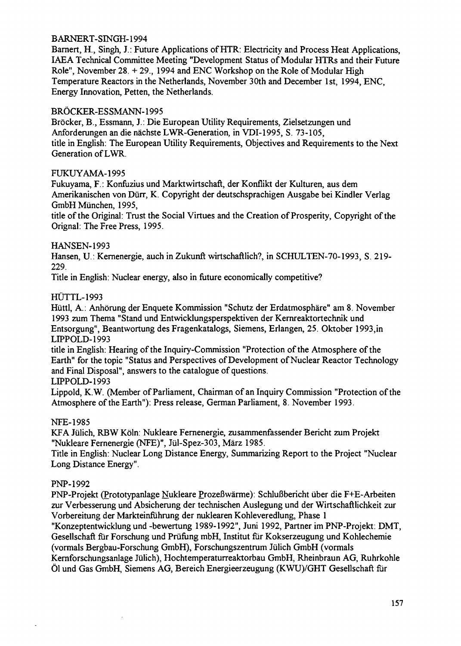#### **B ARNERT-SINGH-1994**

**Barnert, H, Singh, J.: Future Applications of HTR: Electricity and Process Heat Applications, IAEA Technical Committee Meeting "Development Status of Modular HTRs and their Future Role", November 28. + 29., 1994 and ENC Workshop on the Role of Modular High Temperature Reactors in the Netherlands, November 30th and December 1st, 1994, ENC, Energy Innovation, Petten, the Netherlands.**

#### **BROCKER-ES SMANN-1995**

**Brocker, B., Essmann, J.: Die European Utility Requirements, Zielsetzungen und Anforderungen an die nachste LWR-Generation, in VDI-1995, S. 73-105, title in English: The European Utility Requirements, Objectives and Requirements to the Next Generation of LWR.**

#### **FUKUYAMA-1995**

**Fukuyama, F.: Konfiizius und Marktwirtschaft, der Konflikt der Kulturen, aus dem Amerikanischen von Diirr, K. Copyright der deutschsprachigen Ausgabe bei Kindler Verlag GmbHMunchen, 1995,**

**title of the Original: Trust the Social Virtues and the Creation of Prosperity, Copyright of the Orignal: The Free Press, 1995.**

#### **HANSEN-1993**

**Hansen, U.: Kernenergie, auch in Zukunft wirtschaftlich?, in SCHULTEN-70-1993, S. 219- 229.**

**Title in English: Nuclear energy, also in future economically competitive?**

#### **HUTTL-1993**

**Huttl, A.: Anhorung derEnquete Kommission "Schutz der Erdatmosphare" am 8. November 1993 zum Thema "Stand und Entwicklungsperspektiven der Kernreaktortechnik und Entsorgung", Beantwortung des Fragenkatalogs, Siemens, Erlangen, 25. Oktober 1993,in LIPPOLD-1993**

**title in English: Hearing of the Inquiry-Commission "Protection of the Atmosphere of the Earth" for the topic "Status and Perspectives of Development of Nuclear Reactor Technology and Final Disposal", answers to the catalogue of questions.**

**LIPPOLD-1993**

**Lippold, K.W. (Member of Parliament, Chairman of an Inquiry Commission "Protection of the Atmosphere of the Earth"): Press release, German Parliament, 8. November 1993.**

#### **NFE-1985**

**KFA Jiilich, RBW Koln: Nukleare Fernenergie, zusammenfassender Bericht zum Projekt "Nukleare Fernenergie (NFE)", Jul-Spez-303, Marz 1985.**

**Title in English: Nuclear Long Distance Energy, Summarizing Report to the Project "Nuclear Long Distance Energy".**

#### **PNP-1992**

**PNP-Projekt (Prototypanlage Nukleare ProzeBwarme): SchluBbericht iiber die F+E-Arbeiten zur Verbesserung und Absicherung der technischen Auslegung und der Wirtschaftlichkeit zur Vorbereitung der Markteinfuhrung der nuklearen Kohleveredlung, Phase 1**

**"Konzeptentwicklung und -bewertung 1989-1992", Juni 1992, Partner im PNP-Projekt: DMT, Gesellschaft fur Forschung und Priifung mbH, Institut fur Kokserzeugung und Kohlechemie (vormals Bergbau-Forschung GmbH), Forschungszentrum Julich GmbH (vormals Kernforschungsanlage Julich), Hochtemperaturreaktorbau GmbH, Rheinbraun AG, Ruhrkohle 01 und Gas GmbH, Siemens AG, Bereich Energieerzeugung (KWU)/GHT Gesellschaft fur**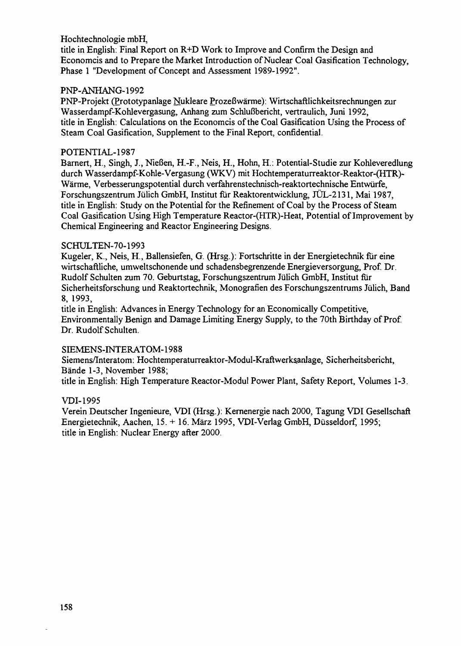#### Hochtechnologie mbH,

title in English: Final Report on R+D Work to Improve and Confirm the Design and Economcis and to Prepare the Market Introduction of Nuclear Coal Gasification Technology, Phase 1 "Development of Concept and Assessment 1989-1992".

#### PNP-ANHANG-1992

PNP-Projekt (Prototypanlage Nukleare Prozeßwärme): Wirtschaftlichkeitsrechnungen zur Wasserdampf-Kohlevergasung, Anhang zum Schlußbericht, vertraulich, Juni 1992, title in English: Calculations on the Economcis of the Coal Gasification Using the Process of Steam Coal Gasification, Supplement to the Final Report, confidential.

#### POTENTIAL-1987

Barnert, H., Singh, J., NieBen, H.-F., Neis, H., Hohn, H.: Potential-Studie zur Kohleveredlung durch Wasserdampf-Kohle-Vergasung (WKV) mit Hochtemperaturreaktor-Reaktor-(HTR)- Warme, Verbesserungspotential durch verfahrenstechnisch-reaktortechnische Entwiirfe, Forschungszentrum Jülich GmbH, Institut für Reaktorentwicklung, JÜL-2131, Mai 1987, title in English: Study on the Potential for the Refinement of Coal by the Process of Steam Coal Gasification Using High Temperature Reactor-(HTR)-Heat, Potential of Improvement by Chemical Engineering and Reactor Engineering Designs.

#### SCHULTEN-70-1993

Kugeler, K., Neis, H., Ballensiefen, G. (Hrsg.): Fortschritte in der Energietechnik fur eine wirtschaftliche, umweltschonende und schadensbegrenzende Energieversorgung, Prof. Dr. Rudolf Schulten zum 70. Geburtstag, Forschungszentrum Julich GmbH, Institut fur Sicherheitsforschung und Reaktortechnik, Monografien des Forschungszentrums Julich, Band 8, 1993,

title in English: Advances in Energy Technology for an Economically Competitive, Environmentally Benign and Damage Limiting Energy Supply, to the 70th Birthday of Prof. Dr. Rudolf Schulten.

#### SIEMENS-INTERATOM-1988

Siemens/Interatom: Hochtemperaturreaktor-Modul-Kraftwerksanlage, Sicherheitsbericht, Bande 1-3, November 1988;

title in English: High Temperature Reactor-Modul Power Plant, Safety Report, Volumes 1-3.

#### VDI-1995

Verein Deutscher Ingenieure, VDI (Hrsg.): Kernenergie nach 2000, Tagung VDI Gesellschaft Energietechnik, Aachen, 15. + 16. Marz 1995, VDI-Verlag GmbH, Dusseldorf, 1995; title in English: Nuclear Energy after 2000.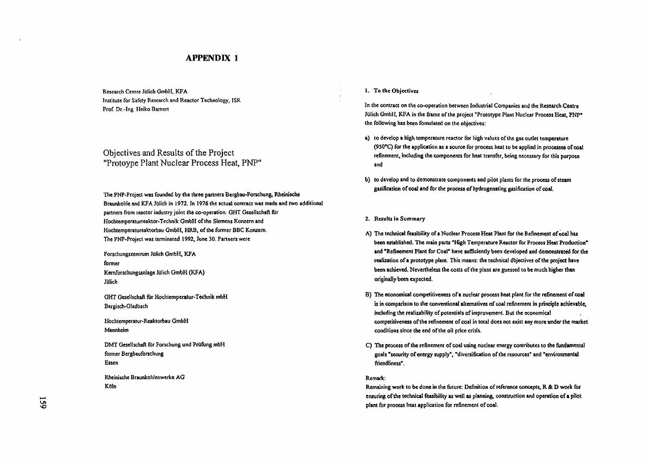#### APPENDIX 1

**Research Centre Jiilich GmbH, KFA Institute for Safety Research and Reactor Technology, ISR Prof. Dr.-Ing. Hciko Bamert**

Objectives and Results of the Project "Protoype Plant Nuclear Process Heat, PNP"

**The PNP-Project was founded by the three partners Bergbau-Forschung, Rheinische Braunkohle and KFA JQlich in 1972. In 1976 the actual contract was made and two additional partners from reactor industry joint the co-operation. GHT Gesellschaft filr Hochtemperaturreaktor-Technik GmbH of the Siemens Konzern and Hochtemperatureaktorbau GmbH, HRB, of the former BBC Konzem. The PNP-Project was terminated 1992, June 30. Partners were**

**Forschungszentrum Jillich GmbH, KFA former Kemforschungsanlage Jitfich GmbH (KFA) Julich**

**GHT Gesellschaft filr Hochtemperatur-Technik mbH Bergisch-Gladbach**

**Hochtemperatur-Reaktorbau GmbH Mannheim**

**DMT GeseHschaft filr Forschung und Prufung mbH former Bergbauforschung Essen**

**Rheinische Braunkohlenwerke AG Koln**

#### **1. To the Objectives**

**In the contract on the co-operation between Industrial Companies and the Research Centre JQlich GmbH, KFA in the frame of the project "Prototype Plant Nuclear Process Heat, PNP" the following has been fomulated on the objectives:**

- **a) to develop a high temperature reactor for high values of the gas outlet temperature (950°C) for the application as a source for process heat to be applied in processes of coa! refinement, including the components for heat transfer, being necessary for this purpose and**
- **b) to develop and to demonstrate components and pilot plants for the process of steam gasification of coal and for the process of hydrogenating gasification of coal.**

**2. Results in Summary**

- **A) The technical feasibility of a Nuclear Process Heat Plant for the Refinement of coal has been established. The main parts "High Temperature Reactor for Process Heat Production" and "Refinement Plant for Coal" have sufficiently been developed and demonstrated for the realization of a prototype plant. This means: the technical objectives of the project have been achieved. Nevertheless the costs of the plant are guessed to be much higher than originally been expected.**
- **B) The economical competitiveness of a nuclear process heat plant for the refinement of coal is in comparison to the conventional alternatives of coal refinement in principle achievable, including the realizability of potentials of improvement. But the economical competitiveness of the refinement of coal in total does not exist any more under the market conditions since the end of the oil price crisis.**
- **C) The process of the refinement of coal using nuclear energy contributes to the fundamental goals "security of energy supply", "diversification of the resources" and "environmental friendliness".**

#### **Remark:**

**Remaining work to be done in the future: Definition of reference concepts, R & D work for ensuring of the technical feasibility as well as planning, construction and operation of a pilot plant for process heat application for refinement of coal.**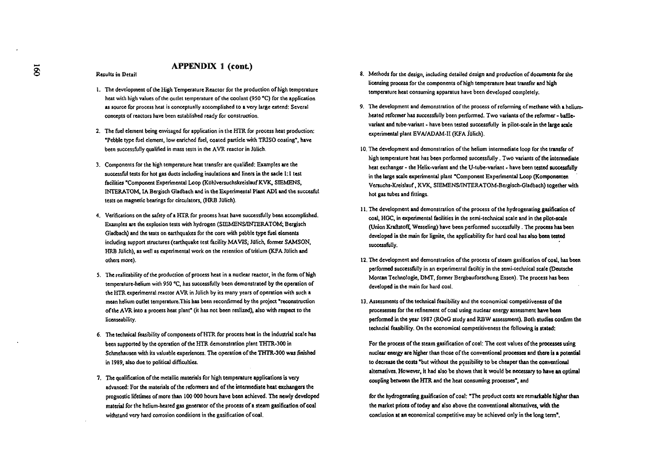#### APPENDIX 1 (cont)

**Results in Detail**

- **1. The development of the High Temperature Reactor for the production of high temperature heat with high values of the outlet temperature of the coolant (950 °C) for the application as source for process heat is conceptually accomplished to a very large extend: Several concepts of reactors have been established ready for construction.**
- **2. The fuel dement being envisaged for application in the HTR for process heat production: "Pebble type fuel element, low enriched fuel, coated particle with TRISO coating", have** been successfully qualified in mass tests in the AVR reactor in Jülich.
- **3. Components for the high temperature heat transfer are qualified: Examples are the** successful tests for hot gas ducts including insulations and liners in the sacle 1:1 test **facilities "Component Experimental Loop (Ktihlversuchskreislauf KVK, SIEMENS, INTERATOK IA Bergisch Gladbach and in the Experimental Plant ADI and the succesfijl** tests on magnetic bearings for circulators, (HRB Julich).
- **4. Verifications on the safety of a HTR for process heat have successfully been accomplished. Examples are the explosion tests with hydrogen (SIEMENS/INTERATOM; Bergisch Gladbach) and the tests on earthquakes for the core with pebble type fuel dements including support structures (earthquake test facility MAVIS; Mich, former SAMSON,** HRB Julich), as well as experimental work on the retention of tritium (KFA Julich and **others more).**
- **5. The realizability of the production of process heat in a nuclear reactor, in the form of high temperature-helium with 950 °C, has successfully been demonstrated by the operation of the HTR experimental reactor AVR in Julich by its many years of operation with such a mean helium outlet temperature.This has been reconfirmed by the project "reconstruction of the AVR into a process heat plant" (it has not been reslized), also with respect to the iicenseability.**
- **6. The technical feasibility of components of HTR for process heat in the industrial scale has been supported by the operation of the HTR demonstration plant THTR-300 in Schmehausen with its valuable experiences. The operation of the THTR-300 was finished in 1989, also due to political difficulties.**
- **7. The qualification of the metallic materials for high temperature applications is very advanced: For the materials of the reformers and of the intermediate heat exchangers the prognostic lifetimes of more than 100 000 hours have been achieved. The newly developed material for the helium-heated gas generator of the process of a steam gasification of coal withstand very hard corrosion conditions in the gasification of coal.**
- **8. Methods for the design, including detailed design and production of documents for the licensing process for the components of high temperature heat transfer and high temperature heat consuming apparatus have been developed completely.**
- **9. The development and demonstration of the process of reforming of methane with a heliumheated reformer has successfully been performed. Two variants of the reformer - bafflevariant and tube-variant • have been tested successfully in pilot-scale in the large scale** experimental plant EVA/ADAM-II (KFA Jülich).
- **10. The development and demonstration of the helium intermediate loop for the transfer of high temperature heat has been performed successfully. Two variants of the intermediate heat exchanger - the Helix-variant and the U-tube-variant - have been tested successfully in the large scale experimental plant "Component Experimental Loop (Komponenten Versuchs-Xreislauf, KVK, SIEMENS/INTERATOM-Bergisch-Gladbach) together with hot gas tubes and fittings.**
- **11. The development and demonstration of the process of the hydrogenating gasification of coal, HGC, in experimental facilities in the semi-technical scale and in the pilot-scale (Union KraftstofS; Wesseling) have been performed successfully. The process has been developed in the main for lignite, the applicability for hard coal has also been tested successfully.**
- **12. The development and demonstration of the process of steam gasification of coal, has been performed successfully in an experimental faciltiy in the semi-technical scale (Deutsche Montan Tcchnologie, DMT, former Bergbauforschung Essen). The process has been developed in the main for hard coal.**
- **13. Assessments of the technical feasibility and the economical competitiveness of the procesesses for the refinement of coal using nuclear energy assessment have been performed in the year 1987 (ROeG study and RBW assessment). Both studies confirm the techncia! feasibility. On the economical competitiveness the following is stated:**

**For the process of the steam gasification of coal: The cost values of the processes using nuclear energy are higher than those of the conventional processes and there is a potential to decrease the costs "but without the possibility to be cheaper than the conventional alternatives. However, it had also be shown that it would be necessary to have an optima! coupling between the HTR and the heat consuming processes", and**

**for the hydrogenating gasification of coal: "The product costs are remarkable higher than the market prices of today and also above the conventional alternatives, with the conclusion at an economical competitive may be achieved only in the long term".**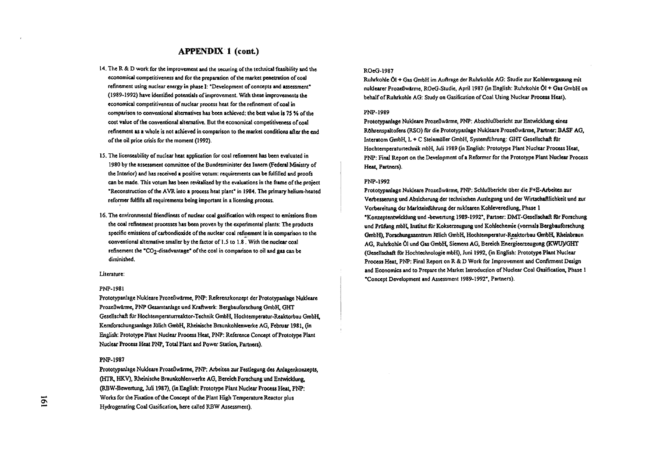#### APPENDIX 1 (cont)

- **14. The R & D work for the improvement and the securing of the technical feasibility and the economical competitiveness and for the preparation of the market penetration of coal refinement using nuclear energy in phase I: "Development of concepts and assessment" (1989-1992) have identified potentials of improvement. With these improvements the economical competitiveness of nuclear process heat for the refinement of coal in comparison to conventional alternatives has been achieved: the best value is 75** *\*A* **of the cost value of the conventional alternative. But the economical competitiveness of coal refinement as a whole is not achieved in comparison to the market conditions after the end of the oil price crisis for the moment (1992).**
- **15. The licenseability of nuclear heat application for coal refinement has been evaluated in 1980 by the assessment committee of the Bundesminister des Innem (Federal Ministry of the Interior) and has received a positive votum: requirements can be fulfilled and proofs can be made. This votum has been revitalized by the evaluations in the frame of the project "Reconstruction of the AVR into a process heat plant" in 1984. The primary helium-heated reformer fulfills all requirements being important in a licensing process.**
- **16. The environmental friendliness of nuclear coal gasification with respect to emissions from the coal refinement processes has been proven by the experimental plants: The products specific emissions of carbondioxide of the nuclear coal refinement is in comparison to the conventional alternative smaller by the factor of 1.5 to 3.8 . With the nuclear coal refinement the "CO2-disadvantage" of the coal in comparison to oil and gas can be diminished.**

#### **Literature:**

#### **PNP-1981**

**Prototypanlage Nukleare ProzeOwarme, PNP: Referenzkonzept der Prototypanlage Nukleare ProzeBwarme, PNP Gesamtanlage und Kraftwerk: Bergbauforschung GmbH, GHT Gesellschaft filr Hochtemperaturreaktor-Technik GmbH, Hochtemperatur-Reaktorbau GmbH, Kemforschungsanlage Julich GmbH, Rheinische Braunkohlenwerke AG, Februar 1981, (in English: Prototype Plant Nuclear Process Heat, PNP: Reference Concept of Prototype Plant Nuclear Process Heat PNP, Total Plant and Power Station, Partners).**

#### **PNP-1987**

**Prototypanlage Nukleare ProzeOwarme, PNP: Arbeiten zur Festlegung des Anlagenkonzepts, (HTR, HKV), Rheinische Braunkohlenwerke AG, Bereich Forschung und Entwicklung, (RBW-Bewertung, Juli 1987), (in English: Prototype Plant Nuclear Process Heat, PNP: Works for the Fixation of the Concept of the Plant High Temperature Reactor plus Hydrogenating Coal Gasification, here called RBW Assessment).**

#### **ROeG-1987**

**RuhrkoHe Ol + Gas GmbH im Auftrage der Ruhrkohle AG: Studie zur Kohlevergasung mit nuldearer ProzeBwarme, ROeG-Studie, April 1987 On English: Ruhrkohle Ol + Gas GmbH on behalf of Ruhrkohle** *KGr.* **Study on Gasification of Coal Using Nuclear Process Heat).**

#### **PNP-1989**

**PrototypanJage Nukleare ProzeBwarme, PNP: AbschluBbericht zur Entwicklung eines Rohrenspaltofens (RSO) fur die Prototypanlage Nukleare ProzeBwarme, Partner: BASF AG,** Interatom GmbH, L + C Steinmüller GmbH, Systemführung: GHT Gesellschaft für **Hochtemperaturtechnik mbH, Juli 1989 (in English: Prototype Plant Nuclear Process Heat, PNP: Final Report on the Development of a Reformer for the Prototype Plant Nuclear Process Heat, Partners).**

#### **PNP-1992**

**Prototypanlage Nukleare ProzeBwarme, PNP: SchluBbericht flber die F+E-Arbeiten air Verbesserung und Absicherung der technischen Auslegung und der Wirtschaftlichkeit und zur Vorbereitung der Markteinfuhrung der nuklearen Kohleveredlung, Phase i "Konzeptentwicklung und -bewertung 1989-1992", Partner: DMT-Gesellschaft fur Forschung und Prufung mbH, Institut fur Kokserzeugung und Kohlechemie (vormals Bergbauforschung GmbH), Forschungszentrum Julich GmbH, Hochtemperatur-Reaktorbau GmbH, Rheinbraun AG, Ruhrkohle Ol und Gas GmbH, Siemens AG, Bereich Energieerzeugung (KWU)/GHT (Gesellschaft filr Hochtechnologie mbH), Juni 1992, (in English: Prototype Plant Nuclear Process Heat, PNP: Final Report on R & D Work for Improvement and Confirment Design and Economics and to Prepare the Market Introduction of Nuclear Coal Gasification, Phase I "Concept Development and Assessment 1989-1992", Partners).**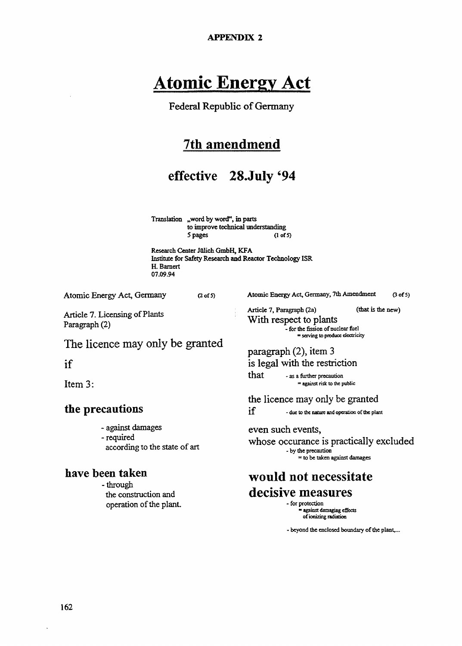**APPENDIX 2**

## **Atomic Energy Act**

Federal Republic of Germany

### 7th amendmend

### effective 28.July *'*94

Translation "word by word", in parts to improve technical understanding 5 pages (l of 5)

Research Center Julich GmbH, KFA Institute for Safety Research and Reactor Technology ISR H. Bamert 07.09.94

Atomic Energy Act, Germany (2 of 5)

Article 7. Licensing of Plants Paragraph (2)

Atomic Energy Act, Germany, 7th Amendment (3 of 5)

Article 7, Paragraph (2a) (that is the new) With respect to plants - for **the** fission of nuclear **fuel** serving to produce electricity

### paragraph (2), item 3 is legal with the restriction

**that** - as a further precaution = against risk to the public

the licence may only be granted

 $if$  - due to the nature and operation of the plant

#### even such events,

whose occurance is practically excluded - by **the** precaution = to be taken against damages

## would not necessitate decisive measures

- for protection against damaging effects of ionizing radiation

- beyond the enclosed boundary of the plant,...

### The licence may only be granted

### if

Item 3:

### **the precautions**

- against damages
- required
- according to the state of art

### **have been taken**

-through the construction and operation of the plant.